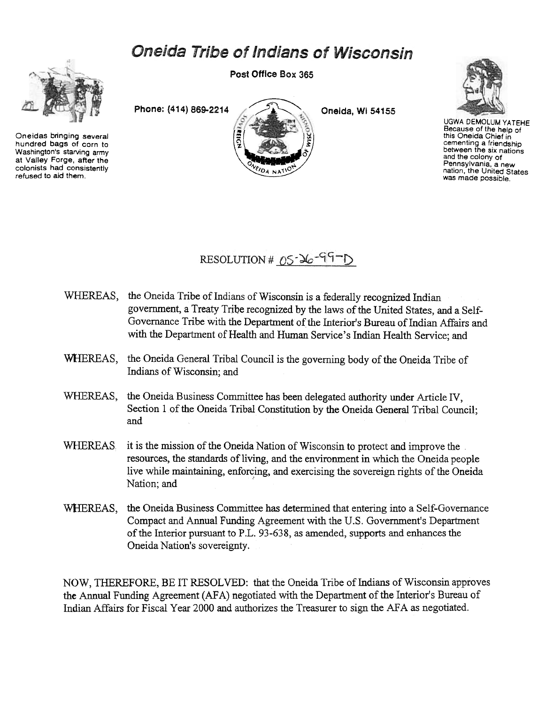## **Oneida Tribe of Indians of Wisconsin**



Oneidas bringing several hundred bags of corn to Washington's starving army at Valley Forge, after the colonists had consistently refused to aid them.

Post Office Box 365





UGWA DEMOLUM YATEHE Because of the help of this Oneida Chief in cementing a friendship between the six nations and the colony of Pennsylvania, a new nation, the United States was made possible.



- WHEREAS, the Oneida Tribe of Indians of Wisconsin is a federally recognized Indian government, a Treaty Tribe recognized by the laws of the United States, and a Self-Governance Tribe with the Department of the Interior's Bureau of Indian Affairs and with the Department of Health and Human Service's Indian Health Service; and
- WHEREAS, the Oneida General Tribal Council is the governing body of the Oneida Tribe of Indians of Wisconsin; and
- WHEREAS, the Oneida Business Committee has been delegated authority under Article IV, Section 1 of the Oneida Tribal Constitution by the Oneida General Tribal Council; and
- WHEREAS it is the mission of the Oneida Nation of Wisconsin to protect and improve the resources, the standards of living, and the environment in which the Oneida people live while maintaining, enforcing, and exercising the sovereign rights of the Oneida Nation; and
- WHEREAS, the Oneida Business Committee has determined that entering into a Self-Governance Compact and Annual Funding Agreement with the U.S. Government's Department of the Interior pursuant to P.L. 93-638, as amended, supports and enhances the Oneida Nation's sovereignty.

NOW, THEREFORE, BE IT RESOLVED: that the Oneida Tribe of Indians of Wisconsin approves the Annual Funding Agreement (AFA) negotiated with the Department of the Interior's Bureau of Indian Affairs for Fiscal Year 2000 and authorizes the Treasurer to sign the AFA as negotiated.